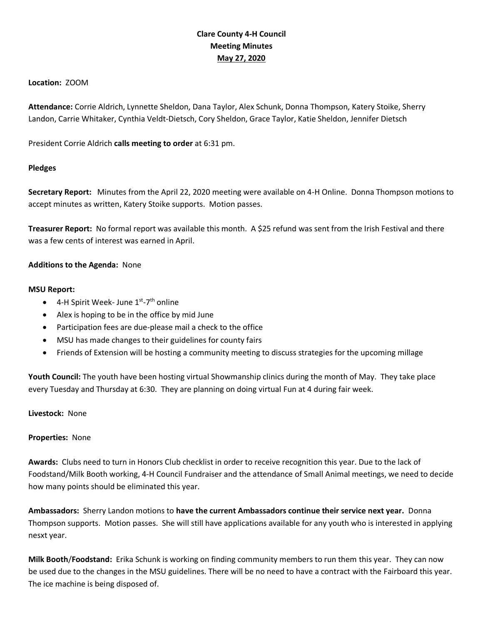# **Clare County 4-H Council Meeting Minutes May 27, 2020**

## **Location:** ZOOM

**Attendance:** Corrie Aldrich, Lynnette Sheldon, Dana Taylor, Alex Schunk, Donna Thompson, Katery Stoike, Sherry Landon, Carrie Whitaker, Cynthia Veldt-Dietsch, Cory Sheldon, Grace Taylor, Katie Sheldon, Jennifer Dietsch

President Corrie Aldrich **calls meeting to order** at 6:31 pm.

## **Pledges**

**Secretary Report:** Minutes from the April 22, 2020 meeting were available on 4-H Online. Donna Thompson motions to accept minutes as written, Katery Stoike supports. Motion passes.

**Treasurer Report:** No formal report was available this month. A \$25 refund was sent from the Irish Festival and there was a few cents of interest was earned in April.

## **Additions to the Agenda:** None

## **MSU Report:**

- $\bullet$  4-H Spirit Week-June 1st-7<sup>th</sup> online
- Alex is hoping to be in the office by mid June
- Participation fees are due-please mail a check to the office
- MSU has made changes to their guidelines for county fairs
- Friends of Extension will be hosting a community meeting to discuss strategies for the upcoming millage

**Youth Council:** The youth have been hosting virtual Showmanship clinics during the month of May. They take place every Tuesday and Thursday at 6:30. They are planning on doing virtual Fun at 4 during fair week.

## **Livestock:** None

## **Properties:** None

**Awards:** Clubs need to turn in Honors Club checklist in order to receive recognition this year. Due to the lack of Foodstand/Milk Booth working, 4-H Council Fundraiser and the attendance of Small Animal meetings, we need to decide how many points should be eliminated this year.

**Ambassadors:** Sherry Landon motions to **have the current Ambassadors continue their service next year.** Donna Thompson supports. Motion passes. She will still have applications available for any youth who is interested in applying nesxt year.

**Milk Booth**/**Foodstand:** Erika Schunk is working on finding community members to run them this year. They can now be used due to the changes in the MSU guidelines. There will be no need to have a contract with the Fairboard this year. The ice machine is being disposed of.